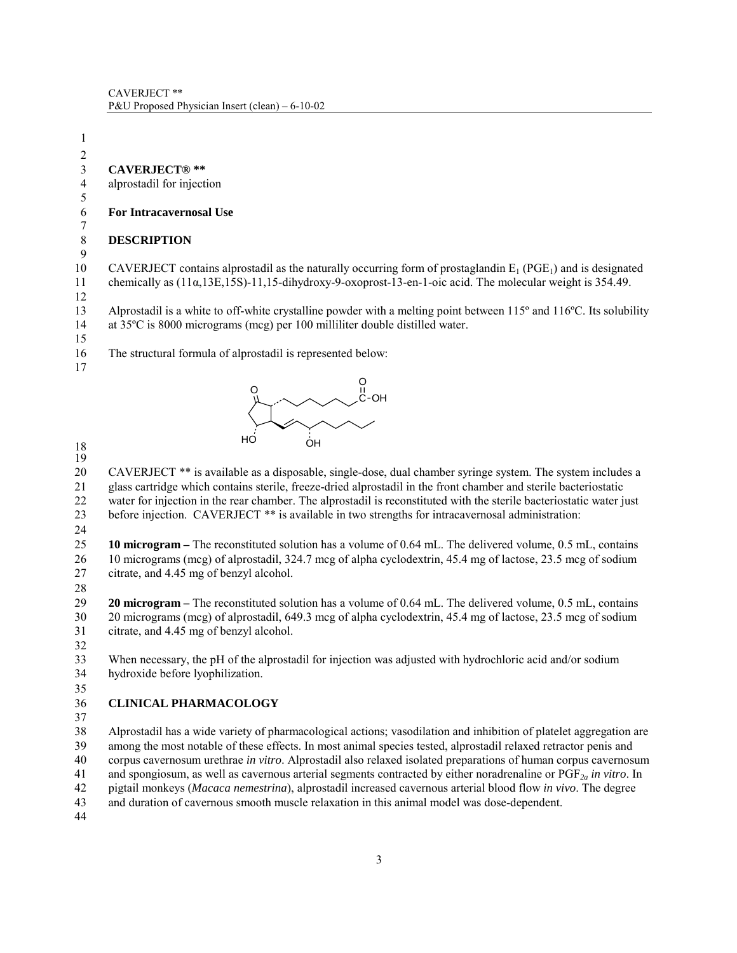# **CAVERJECT® \*\***

alprostadil for injection

#### **For Intracavernosal Use**

- **DESCRIPTION**
- 

10 CAVERJECT contains alprostadil as the naturally occurring form of prostaglandin  $E_1$  (PGE<sub>1</sub>) and is designated 11 chemically as  $(11\alpha,13E,15S)-11,15-dihydroxy-9-oxoprost-13-en-1-oic acid.$  The molecular weight is 354.49.

 Alprostadil is a white to off-white crystalline powder with a melting point between 115º and 116ºC. Its solubility at 35ºC is 8000 micrograms (mcg) per 100 milliliter double distilled water.

 The structural formula of alprostadil is represented below: 



 $\frac{18}{19}$ 

 CAVERJECT \*\* is available as a disposable, single-dose, dual chamber syringe system. The system includes a glass cartridge which contains sterile, freeze-dried alprostadil in the front chamber and sterile bacteriostatic water for injection in the rear chamber. The alprostadil is reconstituted with the sterile bacteriostatic water just before injection. CAVERJECT \*\* is available in two strengths for intracavernosal administration:

 **10 microgram –** The reconstituted solution has a volume of 0.64 mL. The delivered volume, 0.5 mL, contains 10 micrograms (mcg) of alprostadil, 324.7 mcg of alpha cyclodextrin, 45.4 mg of lactose, 23.5 mcg of sodium citrate, and 4.45 mg of benzyl alcohol.

 **20 microgram –** The reconstituted solution has a volume of 0.64 mL. The delivered volume, 0.5 mL, contains 20 micrograms (mcg) of alprostadil, 649.3 mcg of alpha cyclodextrin, 45.4 mg of lactose, 23.5 mcg of sodium citrate, and 4.45 mg of benzyl alcohol.

 When necessary, the pH of the alprostadil for injection was adjusted with hydrochloric acid and/or sodium hydroxide before lyophilization. 

# **CLINICAL PHARMACOLOGY**

 Alprostadil has a wide variety of pharmacological actions; vasodilation and inhibition of platelet aggregation are among the most notable of these effects. In most animal species tested, alprostadil relaxed retractor penis and corpus cavernosum urethrae *in vitro*. Alprostadil also relaxed isolated preparations of human corpus cavernosum

and spongiosum, as well as cavernous arterial segments contracted by either noradrenaline or PGF*2a in vitro*. In

pigtail monkeys (*Macaca nemestrina*), alprostadil increased cavernous arterial blood flow *in vivo*. The degree

and duration of cavernous smooth muscle relaxation in this animal model was dose-dependent.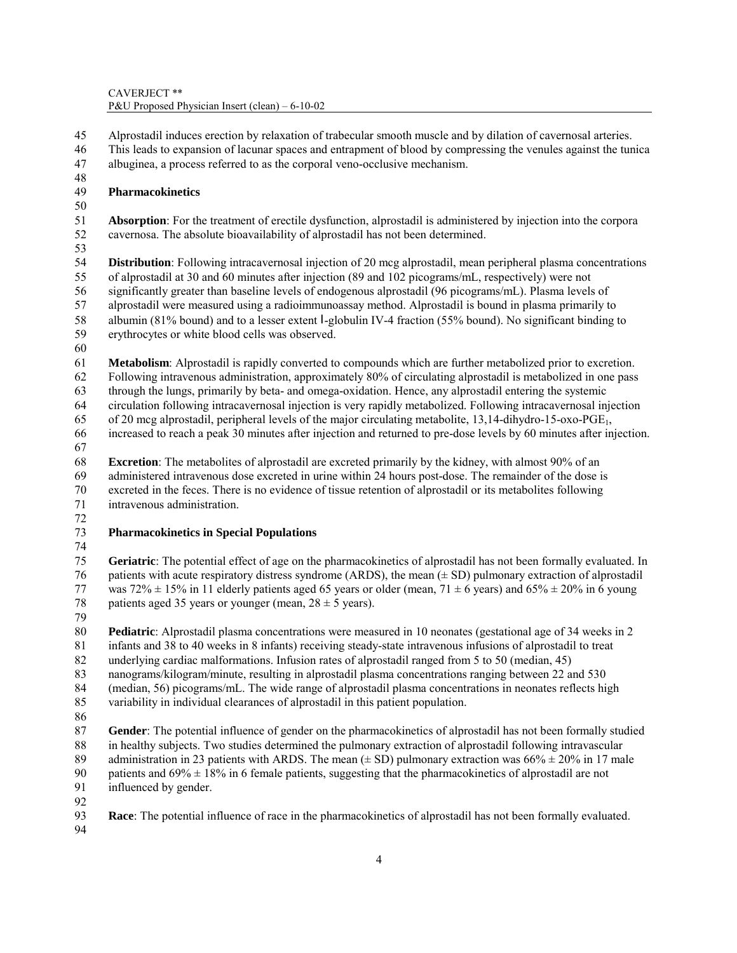#### CAVERJECT \*\* P&U Proposed Physician Insert (clean) – 6-10-02

 Alprostadil induces erection by relaxation of trabecular smooth muscle and by dilation of cavernosal arteries. This leads to expansion of lacunar spaces and entrapment of blood by compressing the venules against the tunica albuginea, a process referred to as the corporal veno-occlusive mechanism. **Pharmacokinetics**

 **Absorption**: For the treatment of erectile dysfunction, alprostadil is administered by injection into the corpora cavernosa. The absolute bioavailability of alprostadil has not been determined.

 **Distribution**: Following intracavernosal injection of 20 mcg alprostadil, mean peripheral plasma concentrations of alprostadil at 30 and 60 minutes after injection (89 and 102 picograms/mL, respectively) were not significantly greater than baseline levels of endogenous alprostadil (96 picograms/mL). Plasma levels of alprostadil were measured using a radioimmunoassay method. Alprostadil is bound in plasma primarily to albumin (81% bound) and to a lesser extent Ι-globulin IV-4 fraction (55% bound). No significant binding to erythrocytes or white blood cells was observed.

 **Metabolism**: Alprostadil is rapidly converted to compounds which are further metabolized prior to excretion. Following intravenous administration, approximately 80% of circulating alprostadil is metabolized in one pass through the lungs, primarily by beta- and omega-oxidation. Hence, any alprostadil entering the systemic circulation following intracavernosal injection is very rapidly metabolized. Following intracavernosal injection

of 20 mcg alprostadil, peripheral levels of the major circulating metabolite, 13,14-dihydro-15-oxo-PGE1,

increased to reach a peak 30 minutes after injection and returned to pre-dose levels by 60 minutes after injection.

 **Excretion**: The metabolites of alprostadil are excreted primarily by the kidney, with almost 90% of an administered intravenous dose excreted in urine within 24 hours post-dose. The remainder of the dose is excreted in the feces. There is no evidence of tissue retention of alprostadil or its metabolites following intravenous administration.

# **Pharmacokinetics in Special Populations**

 **Geriatric**: The potential effect of age on the pharmacokinetics of alprostadil has not been formally evaluated. In 76 patients with acute respiratory distress syndrome (ARDS), the mean ( $\pm$  SD) pulmonary extraction of alprostadil was 72%  $\pm$  15% in 11 elderly patients aged 65 years or older (mean, 71  $\pm$  6 years) and 65%  $\pm$  20% i was 72%  $\pm$  15% in 11 elderly patients aged 65 years or older (mean, 71  $\pm$  6 years) and 65%  $\pm$  20% in 6 young 78 patients aged 35 years or younger (mean,  $28 \pm 5$  years).

 **Pediatric**: Alprostadil plasma concentrations were measured in 10 neonates (gestational age of 34 weeks in 2 infants and 38 to 40 weeks in 8 infants) receiving steady-state intravenous infusions of alprostadil to treat underlying cardiac malformations. Infusion rates of alprostadil ranged from 5 to 50 (median, 45) nanograms/kilogram/minute, resulting in alprostadil plasma concentrations ranging between 22 and 530

(median, 56) picograms/mL. The wide range of alprostadil plasma concentrations in neonates reflects high

- variability in individual clearances of alprostadil in this patient population.
- 

 **Gender**: The potential influence of gender on the pharmacokinetics of alprostadil has not been formally studied in healthy subjects. Two studies determined the pulmonary extraction of alprostadil following intravascular 89 administration in 23 patients with ARDS. The mean  $(\pm SD)$  pulmonary extraction was 66%  $\pm 20\%$  in 17 male 90 patients and  $69\% \pm 18\%$  in 6 female patients, suggesting that the pharmacokinetics of alprostadil are not influenced by gender.

**Race**: The potential influence of race in the pharmacokinetics of alprostadil has not been formally evaluated.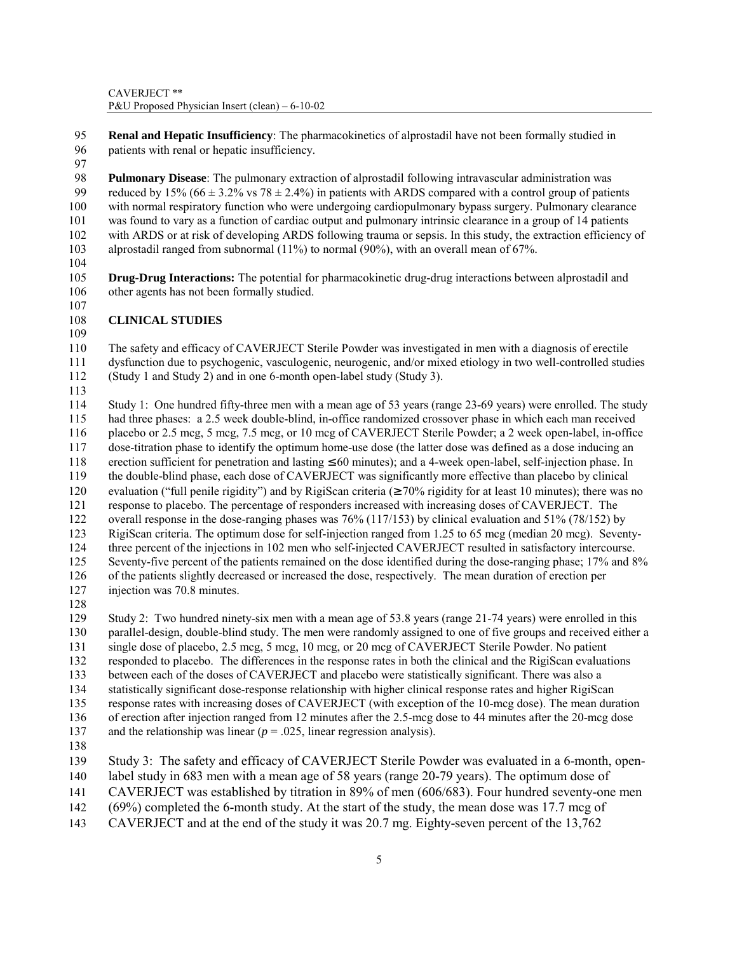**Renal and Hepatic Insufficiency**: The pharmacokinetics of alprostadil have not been formally studied in patients with renal or hepatic insufficiency. **Pulmonary Disease**: The pulmonary extraction of alprostadil following intravascular administration was 99 reduced by 15% (66  $\pm$  3.2% vs 78  $\pm$  2.4%) in patients with ARDS compared with a control group of patients with normal respiratory function who were undergoing cardiopulmonary bypass surgery. Pulmonary clearance was found to vary as a function of cardiac output and pulmonary intrinsic clearance in a group of 14 patients with ARDS or at risk of developing ARDS following trauma or sepsis. In this study, the extraction efficiency of alprostadil ranged from subnormal (11%) to normal (90%), with an overall mean of 67%. **Drug-Drug Interactions:** The potential for pharmacokinetic drug-drug interactions between alprostadil and other agents has not been formally studied. **CLINICAL STUDIES** The safety and efficacy of CAVERJECT Sterile Powder was investigated in men with a diagnosis of erectile dysfunction due to psychogenic, vasculogenic, neurogenic, and/or mixed etiology in two well-controlled studies (Study 1 and Study 2) and in one 6-month open-label study (Study 3). Study 1: One hundred fifty-three men with a mean age of 53 years (range 23-69 years) were enrolled. The study had three phases: a 2.5 week double-blind, in-office randomized crossover phase in which each man received placebo or 2.5 mcg, 5 mcg, 7.5 mcg, or 10 mcg of CAVERJECT Sterile Powder; a 2 week open-label, in-office dose-titration phase to identify the optimum home-use dose (the latter dose was defined as a dose inducing an erection sufficient for penetration and lasting ≤ 60 minutes); and a 4-week open-label, self-injection phase. In the double-blind phase, each dose of CAVERJECT was significantly more effective than placebo by clinical 120 evaluation ("full penile rigidity") and by RigiScan criteria ( $\geq 70\%$  rigidity for at least 10 minutes); there was no response to placebo. The percentage of responders increased with increasing doses of CAVERJECT. The

 overall response in the dose-ranging phases was 76% (117/153) by clinical evaluation and 51% (78/152) by RigiScan criteria. The optimum dose for self-injection ranged from 1.25 to 65 mcg (median 20 mcg). Seventy- three percent of the injections in 102 men who self-injected CAVERJECT resulted in satisfactory intercourse. Seventy-five percent of the patients remained on the dose identified during the dose-ranging phase; 17% and 8% 126 of the patients slightly decreased or increased the dose, respectively. The mean duration of erection per injection was 70.8 minutes. injection was 70.8 minutes.

 Study 2: Two hundred ninety-six men with a mean age of 53.8 years (range 21-74 years) were enrolled in this parallel-design, double-blind study. The men were randomly assigned to one of five groups and received either a single dose of placebo, 2.5 mcg, 5 mcg, 10 mcg, or 20 mcg of CAVERJECT Sterile Powder. No patient responded to placebo. The differences in the response rates in both the clinical and the RigiScan evaluations between each of the doses of CAVERJECT and placebo were statistically significant. There was also a statistically significant dose-response relationship with higher clinical response rates and higher RigiScan response rates with increasing doses of CAVERJECT (with exception of the 10-mcg dose). The mean duration of erection after injection ranged from 12 minutes after the 2.5-mcg dose to 44 minutes after the 20-mcg dose

- and the relationship was linear (*p* = .025, linear regression analysis).
- 
- Study 3: The safety and efficacy of CAVERJECT Sterile Powder was evaluated in a 6-month, open-
- label study in 683 men with a mean age of 58 years (range 20-79 years). The optimum dose of
- CAVERJECT was established by titration in 89% of men (606/683). Four hundred seventy-one men
- (69%) completed the 6-month study. At the start of the study, the mean dose was 17.7 mcg of
- CAVERJECT and at the end of the study it was 20.7 mg. Eighty-seven percent of the 13,762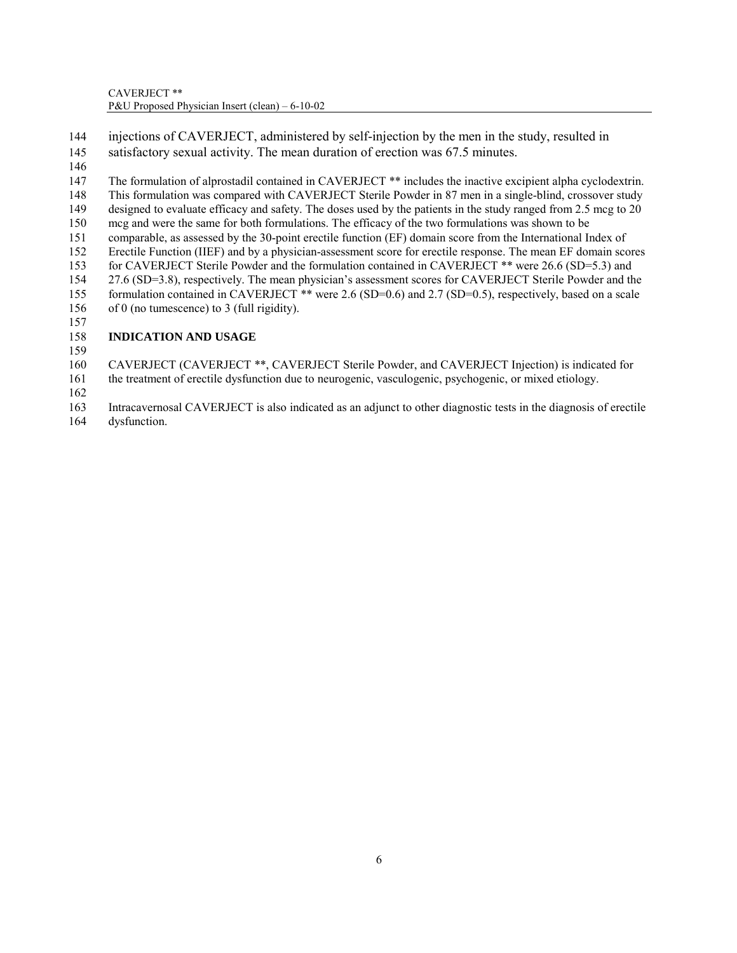injections of CAVERJECT, administered by self-injection by the men in the study, resulted in satisfactory sexual activity. The mean duration of erection was 67.5 minutes. The formulation of alprostadil contained in CAVERJECT \*\* includes the inactive excipient alpha cyclodextrin. This formulation was compared with CAVERJECT Sterile Powder in 87 men in a single-blind, crossover study designed to evaluate efficacy and safety. The doses used by the patients in the study ranged from 2.5 mcg to 20 mcg and were the same for both formulations. The efficacy of the two formulations was shown to be comparable, as assessed by the 30-point erectile function (EF) domain score from the International Index of Erectile Function (IIEF) and by a physician-assessment score for erectile response. The mean EF domain scores 153 for CAVERJECT Sterile Powder and the formulation contained in CAVERJECT \*\* were 26.6 (SD=5.3) and 27.6 (SD=3.8), respectively. The mean physician's assessment scores for CAVERJECT Sterile Powder and the 155 formulation contained in CAVERJECT \*\* were 2.6 (SD=0.6) and 2.7 (SD=0.5), respectively, based on a scale of 0 (no tumescence) to 3 (full rigidity). **INDICATION AND USAGE** CAVERJECT (CAVERJECT \*\*, CAVERJECT Sterile Powder, and CAVERJECT Injection) is indicated for the treatment of erectile dysfunction due to neurogenic, vasculogenic, psychogenic, or mixed etiology. 

 Intracavernosal CAVERJECT is also indicated as an adjunct to other diagnostic tests in the diagnosis of erectile dysfunction.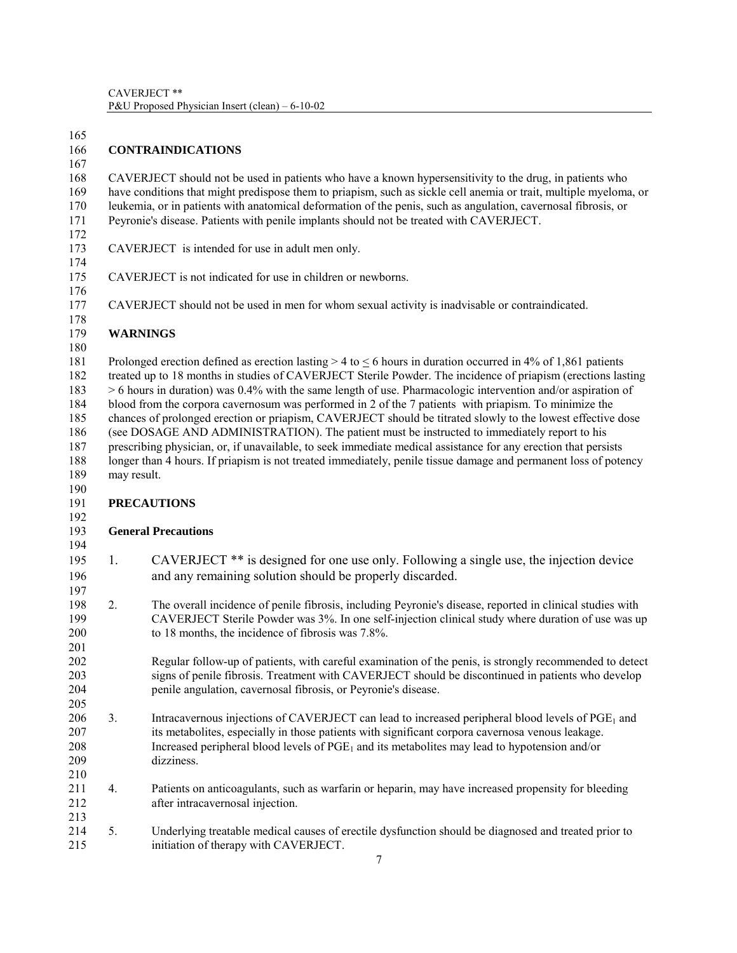# **CONTRAINDICATIONS**

 CAVERJECT should not be used in patients who have a known hypersensitivity to the drug, in patients who have conditions that might predispose them to priapism, such as sickle cell anemia or trait, multiple myeloma, or leukemia, or in patients with anatomical deformation of the penis, such as angulation, cavernosal fibrosis, or Peyronie's disease. Patients with penile implants should not be treated with CAVERJECT.

# 

- CAVERJECT is intended for use in adult men only.
- CAVERJECT is not indicated for use in children or newborns.
- CAVERJECT should not be used in men for whom sexual activity is inadvisable or contraindicated.

#### **WARNINGS**

 Prolonged erection defined as erection lasting > 4 to < 6 hours in duration occurred in 4% of 1,861 patients treated up to 18 months in studies of CAVERJECT Sterile Powder. The incidence of priapism (erections lasting > 6 hours in duration) was 0.4% with the same length of use. Pharmacologic intervention and/or aspiration of blood from the corpora cavernosum was performed in 2 of the 7 patients with priapism. To minimize the chances of prolonged erection or priapism, CAVERJECT should be titrated slowly to the lowest effective dose (see DOSAGE AND ADMINISTRATION). The patient must be instructed to immediately report to his prescribing physician, or, if unavailable, to seek immediate medical assistance for any erection that persists longer than 4 hours. If priapism is not treated immediately, penile tissue damage and permanent loss of potency may result.

# **PRECAUTIONS**

#### **General Precautions**

- 1. CAVERJECT \*\* is designed for one use only. Following a single use, the injection device and any remaining solution should be properly discarded.
- 2. The overall incidence of penile fibrosis, including Peyronie's disease, reported in clinical studies with CAVERJECT Sterile Powder was 3%. In one self-injection clinical study where duration of use was up to 18 months, the incidence of fibrosis was 7.8%.
- Regular follow-up of patients, with careful examination of the penis, is strongly recommended to detect signs of penile fibrosis. Treatment with CAVERJECT should be discontinued in patients who develop penile angulation, cavernosal fibrosis, or Peyronie's disease.
- 206 3. Intracavernous injections of CAVERJECT can lead to increased peripheral blood levels of PGE<sub>1</sub> and its metabolites, especially in those patients with significant corpora cavernosa venous leakage. 208 Increased peripheral blood levels of  $PGE<sub>1</sub>$  and its metabolites may lead to hypotension and/or dizziness. dizziness.
- 4. Patients on anticoagulants, such as warfarin or heparin, may have increased propensity for bleeding after intracavernosal injection.
- 5. Underlying treatable medical causes of erectile dysfunction should be diagnosed and treated prior to initiation of therapy with CAVERJECT.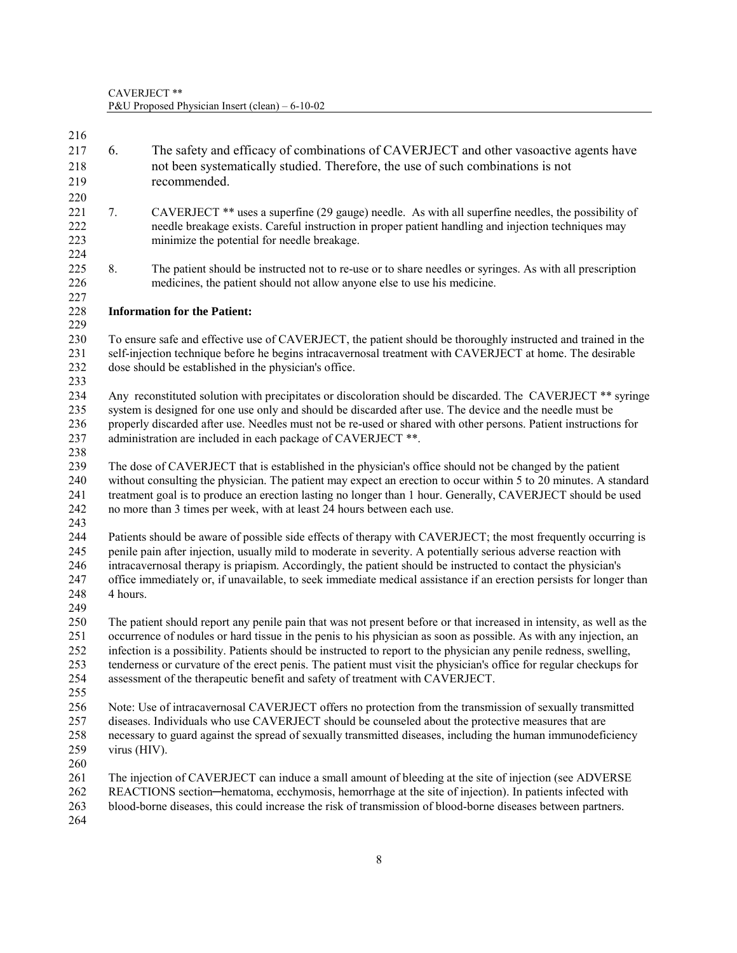| 216        |                                                                                                                                                                                                                              |                                                                                                                      |  |  |  |
|------------|------------------------------------------------------------------------------------------------------------------------------------------------------------------------------------------------------------------------------|----------------------------------------------------------------------------------------------------------------------|--|--|--|
| 217        | 6.                                                                                                                                                                                                                           | The safety and efficacy of combinations of CAVERJECT and other vasoactive agents have                                |  |  |  |
| 218        |                                                                                                                                                                                                                              | not been systematically studied. Therefore, the use of such combinations is not                                      |  |  |  |
| 219        |                                                                                                                                                                                                                              | recommended.                                                                                                         |  |  |  |
| 220        |                                                                                                                                                                                                                              |                                                                                                                      |  |  |  |
| 221        | 7.                                                                                                                                                                                                                           | CAVERJECT ** uses a superfine (29 gauge) needle. As with all superfine needles, the possibility of                   |  |  |  |
| 222        |                                                                                                                                                                                                                              | needle breakage exists. Careful instruction in proper patient handling and injection techniques may                  |  |  |  |
| 223        |                                                                                                                                                                                                                              | minimize the potential for needle breakage.                                                                          |  |  |  |
| 224        |                                                                                                                                                                                                                              |                                                                                                                      |  |  |  |
| 225        | 8.                                                                                                                                                                                                                           | The patient should be instructed not to re-use or to share needles or syringes. As with all prescription             |  |  |  |
| 226        |                                                                                                                                                                                                                              | medicines, the patient should not allow anyone else to use his medicine.                                             |  |  |  |
| 227        |                                                                                                                                                                                                                              |                                                                                                                      |  |  |  |
| 228        | <b>Information for the Patient:</b>                                                                                                                                                                                          |                                                                                                                      |  |  |  |
| 229        |                                                                                                                                                                                                                              |                                                                                                                      |  |  |  |
| 230        |                                                                                                                                                                                                                              | To ensure safe and effective use of CAVERJECT, the patient should be thoroughly instructed and trained in the        |  |  |  |
| 231        |                                                                                                                                                                                                                              | self-injection technique before he begins intracavernosal treatment with CAVERJECT at home. The desirable            |  |  |  |
| 232        |                                                                                                                                                                                                                              | dose should be established in the physician's office.                                                                |  |  |  |
| 233        |                                                                                                                                                                                                                              |                                                                                                                      |  |  |  |
| 234<br>235 | Any reconstituted solution with precipitates or discoloration should be discarded. The CAVERJECT ** syringe                                                                                                                  |                                                                                                                      |  |  |  |
| 236        | system is designed for one use only and should be discarded after use. The device and the needle must be<br>properly discarded after use. Needles must not be re-used or shared with other persons. Patient instructions for |                                                                                                                      |  |  |  |
| 237        | administration are included in each package of CAVERJECT **.                                                                                                                                                                 |                                                                                                                      |  |  |  |
| 238        |                                                                                                                                                                                                                              |                                                                                                                      |  |  |  |
| 239        |                                                                                                                                                                                                                              | The dose of CAVERJECT that is established in the physician's office should not be changed by the patient             |  |  |  |
| 240        | without consulting the physician. The patient may expect an erection to occur within 5 to 20 minutes. A standard                                                                                                             |                                                                                                                      |  |  |  |
| 241        | treatment goal is to produce an erection lasting no longer than 1 hour. Generally, CAVERJECT should be used                                                                                                                  |                                                                                                                      |  |  |  |
| 242        |                                                                                                                                                                                                                              | no more than 3 times per week, with at least 24 hours between each use.                                              |  |  |  |
| 243        |                                                                                                                                                                                                                              |                                                                                                                      |  |  |  |
| 244        |                                                                                                                                                                                                                              | Patients should be aware of possible side effects of therapy with CAVERJECT; the most frequently occurring is        |  |  |  |
| 245        |                                                                                                                                                                                                                              | penile pain after injection, usually mild to moderate in severity. A potentially serious adverse reaction with       |  |  |  |
| 246        |                                                                                                                                                                                                                              | intracavernosal therapy is priapism. Accordingly, the patient should be instructed to contact the physician's        |  |  |  |
| 247        |                                                                                                                                                                                                                              | office immediately or, if unavailable, to seek immediate medical assistance if an erection persists for longer than  |  |  |  |
| 248        | 4 hours.                                                                                                                                                                                                                     |                                                                                                                      |  |  |  |
| 249        |                                                                                                                                                                                                                              |                                                                                                                      |  |  |  |
| 250        |                                                                                                                                                                                                                              | The patient should report any penile pain that was not present before or that increased in intensity, as well as the |  |  |  |
| 251        |                                                                                                                                                                                                                              | occurrence of nodules or hard tissue in the penis to his physician as soon as possible. As with any injection, an    |  |  |  |
| 252        |                                                                                                                                                                                                                              | infection is a possibility. Patients should be instructed to report to the physician any penile redness, swelling,   |  |  |  |
| 253<br>254 | tenderness or curvature of the erect penis. The patient must visit the physician's office for regular checkups for                                                                                                           |                                                                                                                      |  |  |  |
| 255        |                                                                                                                                                                                                                              | assessment of the therapeutic benefit and safety of treatment with CAVERJECT.                                        |  |  |  |
| 256        |                                                                                                                                                                                                                              | Note: Use of intracavernosal CAVERJECT offers no protection from the transmission of sexually transmitted            |  |  |  |
| 257        |                                                                                                                                                                                                                              | diseases. Individuals who use CAVERJECT should be counseled about the protective measures that are                   |  |  |  |
| 258        |                                                                                                                                                                                                                              | necessary to guard against the spread of sexually transmitted diseases, including the human immunodeficiency         |  |  |  |
| 259        | virus (HIV).                                                                                                                                                                                                                 |                                                                                                                      |  |  |  |
| 260        |                                                                                                                                                                                                                              |                                                                                                                      |  |  |  |
| 261        |                                                                                                                                                                                                                              | The injection of CAVERJECT can induce a small amount of bleeding at the site of injection (see ADVERSE)              |  |  |  |
| 262        |                                                                                                                                                                                                                              | REACTIONS section—hematoma, ecchymosis, hemorrhage at the site of injection). In patients infected with              |  |  |  |
| 263        |                                                                                                                                                                                                                              | blood-borne diseases, this could increase the risk of transmission of blood-borne diseases between partners.         |  |  |  |
| 264        |                                                                                                                                                                                                                              |                                                                                                                      |  |  |  |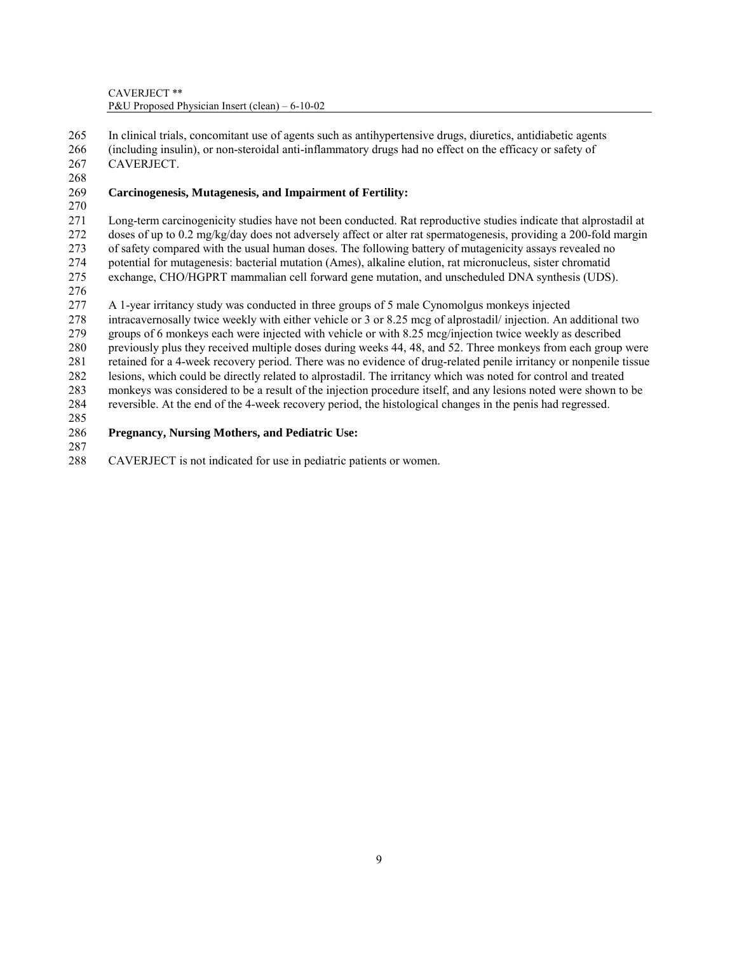In clinical trials, concomitant use of agents such as antihypertensive drugs, diuretics, antidiabetic agents (including insulin), or non-steroidal anti-inflammatory drugs had no effect on the efficacy or safety of CAVERJECT.

- 
- 

#### **Carcinogenesis, Mutagenesis, and Impairment of Fertility:**

 Long-term carcinogenicity studies have not been conducted. Rat reproductive studies indicate that alprostadil at doses of up to 0.2 mg/kg/day does not adversely affect or alter rat spermatogenesis, providing a 200-fold margin of safety compared with the usual human doses. The following battery of mutagenicity assays revealed no potential for mutagenesis: bacterial mutation (Ames), alkaline elution, rat micronucleus, sister chromatid exchange, CHO/HGPRT mammalian cell forward gene mutation, and unscheduled DNA synthesis (UDS).

A 1-year irritancy study was conducted in three groups of 5 male Cynomolgus monkeys injected

 intracavernosally twice weekly with either vehicle or 3 or 8.25 mcg of alprostadil/ injection. An additional two groups of 6 monkeys each were injected with vehicle or with 8.25 mcg/injection twice weekly as described

previously plus they received multiple doses during weeks 44, 48, and 52. Three monkeys from each group were

retained for a 4-week recovery period. There was no evidence of drug-related penile irritancy or nonpenile tissue

lesions, which could be directly related to alprostadil. The irritancy which was noted for control and treated

monkeys was considered to be a result of the injection procedure itself, and any lesions noted were shown to be

reversible. At the end of the 4-week recovery period, the histological changes in the penis had regressed.

#### **Pregnancy, Nursing Mothers, and Pediatric Use:**

CAVERJECT is not indicated for use in pediatric patients or women.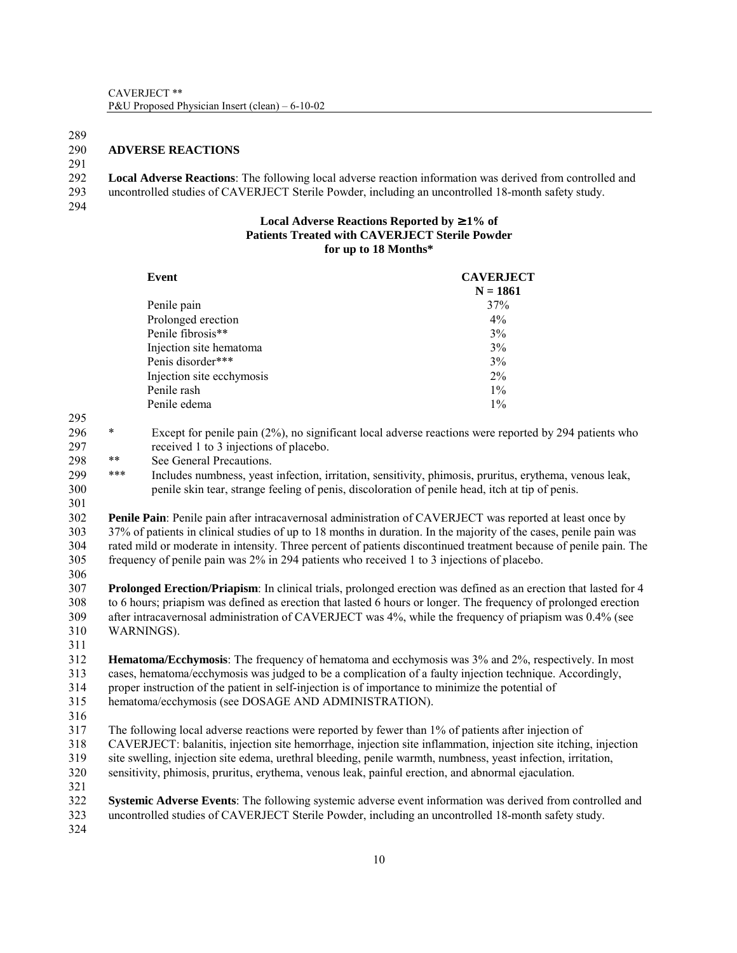#### **ADVERSE REACTIONS**

 **Local Adverse Reactions**: The following local adverse reaction information was derived from controlled and uncontrolled studies of CAVERJECT Sterile Powder, including an uncontrolled 18-month safety study.

- 
- 

#### **Local Adverse Reactions Reported by** ≥ **1% of Patients Treated with CAVERJECT Sterile Powder for up to 18 Months\***

| Event                     | <b>CAVERJECT</b><br>$N = 1861$ |
|---------------------------|--------------------------------|
| Penile pain               | 37%                            |
| Prolonged erection        | $4\%$                          |
| Penile fibrosis**         | 3%                             |
| Injection site hematoma   | 3%                             |
| Penis disorder***         | 3%                             |
| Injection site ecchymosis | 2%                             |
| Penile rash               | $1\%$                          |
| Penile edema              | $1\%$                          |

- 
- \* Except for penile pain (2%), no significant local adverse reactions were reported by 294 patients who received 1 to 3 injections of placebo.
- \*\* See General Precautions.
- \*\*\* Includes numbness, yeast infection, irritation, sensitivity, phimosis, pruritus, erythema, venous leak, penile skin tear, strange feeling of penis, discoloration of penile head, itch at tip of penis.
- 

 **Penile Pain**: Penile pain after intracavernosal administration of CAVERJECT was reported at least once by 37% of patients in clinical studies of up to 18 months in duration. In the majority of the cases, penile pain was rated mild or moderate in intensity. Three percent of patients discontinued treatment because of penile pain. The frequency of penile pain was 2% in 294 patients who received 1 to 3 injections of placebo.

 **Prolonged Erection/Priapism**: In clinical trials, prolonged erection was defined as an erection that lasted for 4 to 6 hours; priapism was defined as erection that lasted 6 hours or longer. The frequency of prolonged erection after intracavernosal administration of CAVERJECT was 4%, while the frequency of priapism was 0.4% (see WARNINGS).

- **Hematoma/Ecchymosis**: The frequency of hematoma and ecchymosis was 3% and 2%, respectively. In most cases, hematoma/ecchymosis was judged to be a complication of a faulty injection technique. Accordingly, proper instruction of the patient in self-injection is of importance to minimize the potential of
- hematoma/ecchymosis (see DOSAGE AND ADMINISTRATION).
- 

 The following local adverse reactions were reported by fewer than 1% of patients after injection of CAVERJECT: balanitis, injection site hemorrhage, injection site inflammation, injection site itching, injection site swelling, injection site edema, urethral bleeding, penile warmth, numbness, yeast infection, irritation, sensitivity, phimosis, pruritus, erythema, venous leak, painful erection, and abnormal ejaculation.

 **Systemic Adverse Events**: The following systemic adverse event information was derived from controlled and uncontrolled studies of CAVERJECT Sterile Powder, including an uncontrolled 18-month safety study.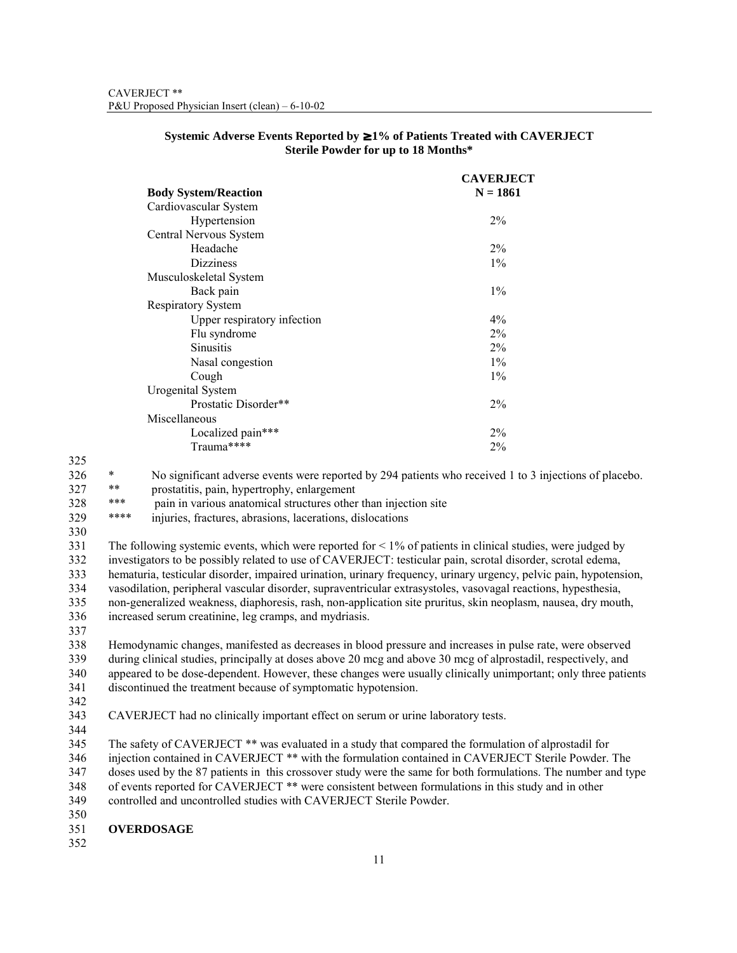| <b>Body System/Reaction</b> | <b>CAVERJECT</b><br>$N = 1861$ |
|-----------------------------|--------------------------------|
| Cardiovascular System       |                                |
| Hypertension                | $2\%$                          |
| Central Nervous System      |                                |
| Headache                    | $2\%$                          |
| <b>Dizziness</b>            | $1\%$                          |
| Musculoskeletal System      |                                |
| Back pain                   | $1\%$                          |
| <b>Respiratory System</b>   |                                |
| Upper respiratory infection | $4\%$                          |
| Flu syndrome                | 2%                             |
| <b>Sinusitis</b>            | $2\%$                          |
| Nasal congestion            | $1\%$                          |
| Cough                       | $1\%$                          |
| Urogenital System           |                                |
| Prostatic Disorder**        | $2\%$                          |
| Miscellaneous               |                                |
| Localized pain***           | $2\%$                          |
| Trauma****                  | $2\%$                          |

#### **Systemic Adverse Events Reported by** ≥ **1% of Patients Treated with CAVERJECT Sterile Powder for up to 18 Months\***

325

326 \* No significant adverse events were reported by 294 patients who received 1 to 3 injections of placebo.

- 327 \*\* prostatitis, pain, hypertrophy, enlargement<br>328 \*\*\* pain in various anatomical structures other
- 328 \*\*\* pain in various anatomical structures other than injection site

329 \*\*\*\* injuries, fractures, abrasions, lacerations, dislocations

330

 The following systemic events, which were reported for < 1% of patients in clinical studies, were judged by investigators to be possibly related to use of CAVERJECT: testicular pain, scrotal disorder, scrotal edema, hematuria, testicular disorder, impaired urination, urinary frequency, urinary urgency, pelvic pain, hypotension, vasodilation, peripheral vascular disorder, supraventricular extrasystoles, vasovagal reactions, hypesthesia, non-generalized weakness, diaphoresis, rash, non-application site pruritus, skin neoplasm, nausea, dry mouth, increased serum creatinine, leg cramps, and mydriasis. 337

 Hemodynamic changes, manifested as decreases in blood pressure and increases in pulse rate, were observed during clinical studies, principally at doses above 20 mcg and above 30 mcg of alprostadil, respectively, and appeared to be dose-dependent. However, these changes were usually clinically unimportant; only three patients discontinued the treatment because of symptomatic hypotension.

342

343 CAVERJECT had no clinically important effect on serum or urine laboratory tests. 344

 The safety of CAVERJECT \*\* was evaluated in a study that compared the formulation of alprostadil for injection contained in CAVERJECT \*\* with the formulation contained in CAVERJECT Sterile Powder. The doses used by the 87 patients in this crossover study were the same for both formulations. The number and type of events reported for CAVERJECT \*\* were consistent between formulations in this study and in other controlled and uncontrolled studies with CAVERJECT Sterile Powder.

350 351 **OVERDOSAGE**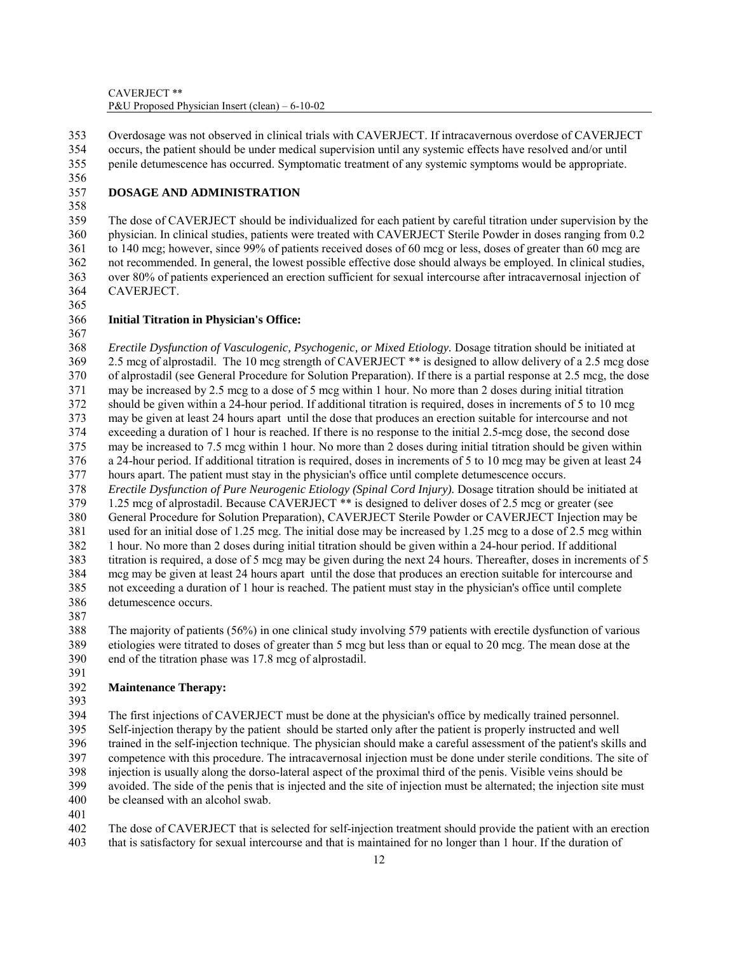Overdosage was not observed in clinical trials with CAVERJECT. If intracavernous overdose of CAVERJECT occurs, the patient should be under medical supervision until any systemic effects have resolved and/or until penile detumescence has occurred. Symptomatic treatment of any systemic symptoms would be appropriate.

# **DOSAGE AND ADMINISTRATION**

 The dose of CAVERJECT should be individualized for each patient by careful titration under supervision by the physician. In clinical studies, patients were treated with CAVERJECT Sterile Powder in doses ranging from 0.2 to 140 mcg; however, since 99% of patients received doses of 60 mcg or less, doses of greater than 60 mcg are not recommended. In general, the lowest possible effective dose should always be employed. In clinical studies, over 80% of patients experienced an erection sufficient for sexual intercourse after intracavernosal injection of CAVERJECT.

# **Initial Titration in Physician's Office:**

 *Erectile Dysfunction of Vasculogenic, Psychogenic, or Mixed Etiology.* Dosage titration should be initiated at 2.5 mcg of alprostadil. The 10 mcg strength of CAVERJECT \*\* is designed to allow delivery of a 2.5 mcg dose of alprostadil (see General Procedure for Solution Preparation). If there is a partial response at 2.5 mcg, the dose may be increased by 2.5 mcg to a dose of 5 mcg within 1 hour. No more than 2 doses during initial titration should be given within a 24-hour period. If additional titration is required, doses in increments of 5 to 10 mcg may be given at least 24 hours apart until the dose that produces an erection suitable for intercourse and not exceeding a duration of 1 hour is reached. If there is no response to the initial 2.5-mcg dose, the second dose may be increased to 7.5 mcg within 1 hour. No more than 2 doses during initial titration should be given within a 24-hour period. If additional titration is required, doses in increments of 5 to 10 mcg may be given at least 24 hours apart. The patient must stay in the physician's office until complete detumescence occurs. *Erectile Dysfunction of Pure Neurogenic Etiology (Spinal Cord Injury).* Dosage titration should be initiated at 1.25 mcg of alprostadil. Because CAVERJECT \*\* is designed to deliver doses of 2.5 mcg or greater (see General Procedure for Solution Preparation), CAVERJECT Sterile Powder or CAVERJECT Injection may be used for an initial dose of 1.25 mcg. The initial dose may be increased by 1.25 mcg to a dose of 2.5 mcg within 1 hour. No more than 2 doses during initial titration should be given within a 24-hour period. If additional titration is required, a dose of 5 mcg may be given during the next 24 hours. Thereafter, doses in increments of 5 mcg may be given at least 24 hours apart until the dose that produces an erection suitable for intercourse and not exceeding a duration of 1 hour is reached. The patient must stay in the physician's office until complete detumescence occurs.

 The majority of patients (56%) in one clinical study involving 579 patients with erectile dysfunction of various etiologies were titrated to doses of greater than 5 mcg but less than or equal to 20 mcg. The mean dose at the end of the titration phase was 17.8 mcg of alprostadil. 

# **Maintenance Therapy:**

 The first injections of CAVERJECT must be done at the physician's office by medically trained personnel. Self-injection therapy by the patient should be started only after the patient is properly instructed and well trained in the self-injection technique. The physician should make a careful assessment of the patient's skills and competence with this procedure. The intracavernosal injection must be done under sterile conditions. The site of injection is usually along the dorso-lateral aspect of the proximal third of the penis. Visible veins should be avoided. The side of the penis that is injected and the site of injection must be alternated; the injection site must be cleansed with an alcohol swab.

- 
- The dose of CAVERJECT that is selected for self-injection treatment should provide the patient with an erection that is satisfactory for sexual intercourse and that is maintained for no longer than 1 hour. If the duration of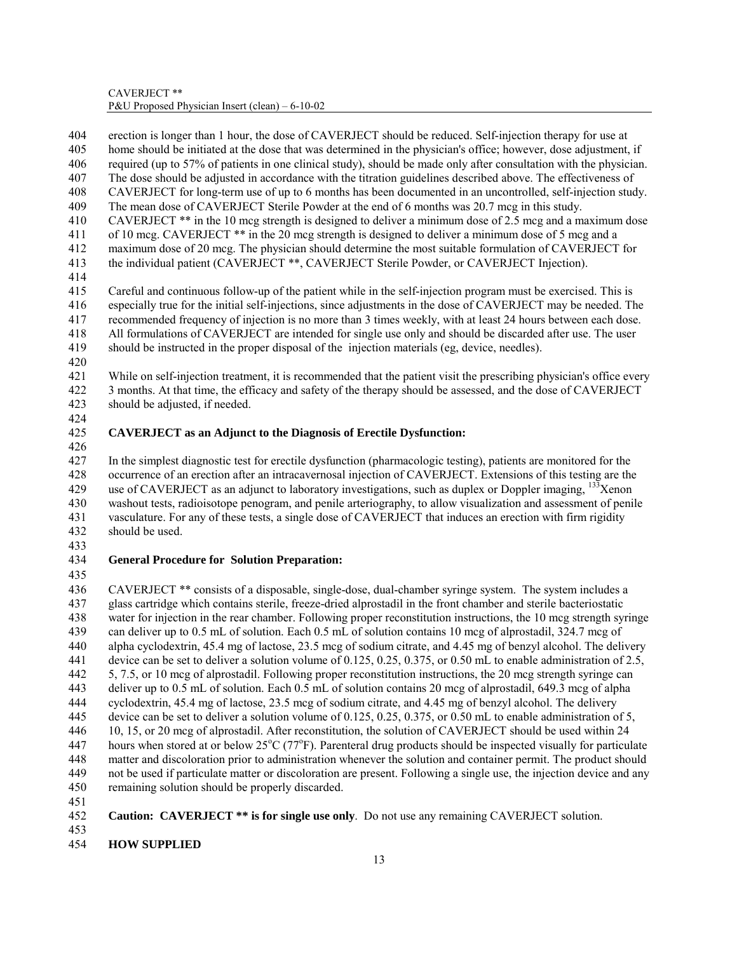erection is longer than 1 hour, the dose of CAVERJECT should be reduced. Self-injection therapy for use at home should be initiated at the dose that was determined in the physician's office; however, dose adjustment, if required (up to 57% of patients in one clinical study), should be made only after consultation with the physician. The dose should be adjusted in accordance with the titration guidelines described above. The effectiveness of CAVERJECT for long-term use of up to 6 months has been documented in an uncontrolled, self-injection study. The mean dose of CAVERJECT Sterile Powder at the end of 6 months was 20.7 mcg in this study. CAVERJECT \*\* in the 10 mcg strength is designed to deliver a minimum dose of 2.5 mcg and a maximum dose of 10 mcg. CAVERJECT \*\* in the 20 mcg strength is designed to deliver a minimum dose of 5 mcg and a maximum dose of 20 mcg. The physician should determine the most suitable formulation of CAVERJECT for the individual patient (CAVERJECT \*\*, CAVERJECT Sterile Powder, or CAVERJECT Injection).

 Careful and continuous follow-up of the patient while in the self-injection program must be exercised. This is especially true for the initial self-injections, since adjustments in the dose of CAVERJECT may be needed. The recommended frequency of injection is no more than 3 times weekly, with at least 24 hours between each dose. All formulations of CAVERJECT are intended for single use only and should be discarded after use. The user

should be instructed in the proper disposal of the injection materials (eg, device, needles).

 While on self-injection treatment, it is recommended that the patient visit the prescribing physician's office every 3 months. At that time, the efficacy and safety of the therapy should be assessed, and the dose of CAVERJECT

- should be adjusted, if needed.
- 
- 

# **CAVERJECT as an Adjunct to the Diagnosis of Erectile Dysfunction:**

 In the simplest diagnostic test for erectile dysfunction (pharmacologic testing), patients are monitored for the occurrence of an erection after an intracavernosal injection of CAVERJECT. Extensions of this testing are the 429 use of CAVERJECT as an adjunct to laboratory investigations, such as duplex or Doppler imaging, <sup>133</sup>Xenon washout tests, radioisotope penogram, and penile arteriography, to allow visualization and assessment of penile vasculature. For any of these tests, a single dose of CAVERJECT that induces an erection with firm rigidity should be used.

# **General Procedure for Solution Preparation:**

 CAVERJECT \*\* consists of a disposable, single-dose, dual-chamber syringe system. The system includes a glass cartridge which contains sterile, freeze-dried alprostadil in the front chamber and sterile bacteriostatic water for injection in the rear chamber. Following proper reconstitution instructions, the 10 mcg strength syringe can deliver up to 0.5 mL of solution. Each 0.5 mL of solution contains 10 mcg of alprostadil, 324.7 mcg of alpha cyclodextrin, 45.4 mg of lactose, 23.5 mcg of sodium citrate, and 4.45 mg of benzyl alcohol. The delivery device can be set to deliver a solution volume of 0.125, 0.25, 0.375, or 0.50 mL to enable administration of 2.5, 5, 7.5, or 10 mcg of alprostadil. Following proper reconstitution instructions, the 20 mcg strength syringe can deliver up to 0.5 mL of solution. Each 0.5 mL of solution contains 20 mcg of alprostadil, 649.3 mcg of alpha cyclodextrin, 45.4 mg of lactose, 23.5 mcg of sodium citrate, and 4.45 mg of benzyl alcohol. The delivery device can be set to deliver a solution volume of 0.125, 0.25, 0.375, or 0.50 mL to enable administration of 5, 10, 15, or 20 mcg of alprostadil. After reconstitution, the solution of CAVERJECT should be used within 24 hours when stored at or below  $25^{\circ}C$  (77 $^{\circ}F$ ). Parenteral drug products should be inspected visually for particulate matter and discoloration prior to administration whenever the solution and container permit. The product should not be used if particulate matter or discoloration are present. Following a single use, the injection device and any remaining solution should be properly discarded.

- 
- **Caution: CAVERJECT \*\* is for single use only**. Do not use any remaining CAVERJECT solution.
- **HOW SUPPLIED**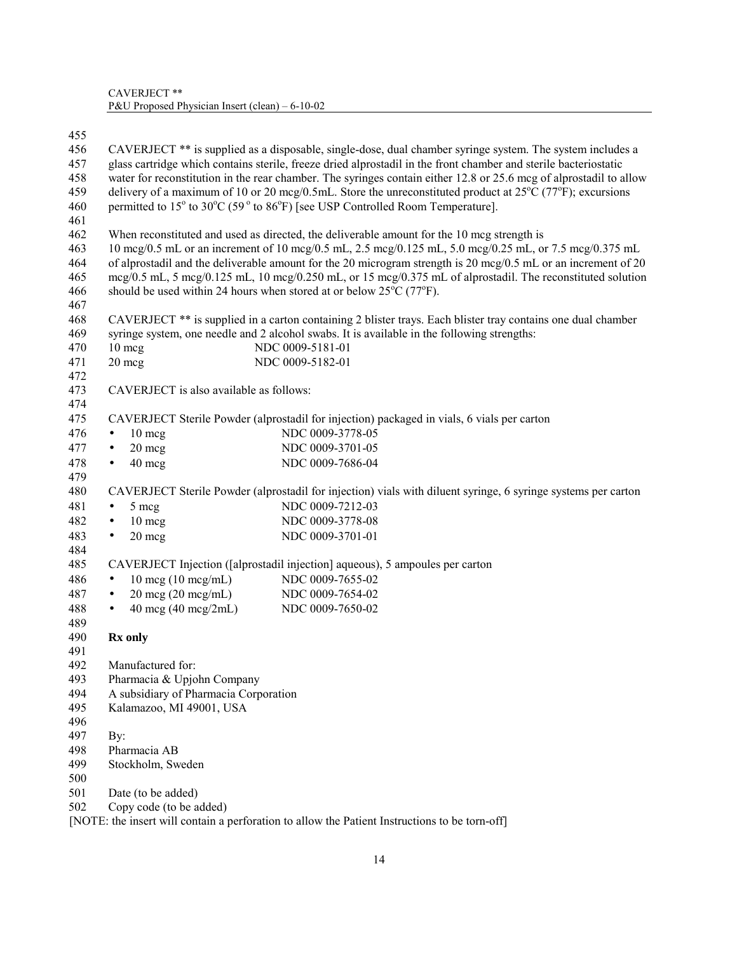| CAVERJECT <sup>**</sup>                         |  |
|-------------------------------------------------|--|
| P&U Proposed Physician Insert (clean) – 6-10-02 |  |

| 455        |                                                                                                                              |                                                                                                               |  |  |  |  |
|------------|------------------------------------------------------------------------------------------------------------------------------|---------------------------------------------------------------------------------------------------------------|--|--|--|--|
| 456        | CAVERJECT ** is supplied as a disposable, single-dose, dual chamber syringe system. The system includes a                    |                                                                                                               |  |  |  |  |
| 457        | glass cartridge which contains sterile, freeze dried alprostadil in the front chamber and sterile bacteriostatic             |                                                                                                               |  |  |  |  |
| 458        | water for reconstitution in the rear chamber. The syringes contain either 12.8 or 25.6 mcg of alprostadil to allow           |                                                                                                               |  |  |  |  |
| 459        | delivery of a maximum of 10 or 20 mcg/0.5mL. Store the unreconstituted product at 25°C (77°F); excursions                    |                                                                                                               |  |  |  |  |
| 460        | permitted to 15° to 30°C (59° to 86°F) [see USP Controlled Room Temperature].                                                |                                                                                                               |  |  |  |  |
| 461        |                                                                                                                              |                                                                                                               |  |  |  |  |
| 462        |                                                                                                                              | When reconstituted and used as directed, the deliverable amount for the 10 mcg strength is                    |  |  |  |  |
| 463        | 10 mcg/0.5 mL or an increment of 10 mcg/0.5 mL, 2.5 mcg/0.125 mL, 5.0 mcg/0.25 mL, or 7.5 mcg/0.375 mL                       |                                                                                                               |  |  |  |  |
| 464        | of alprostadil and the deliverable amount for the 20 microgram strength is 20 mcg/0.5 mL or an increment of 20               |                                                                                                               |  |  |  |  |
| 465        | $\text{mcg}/0.5 \text{ mL}$ , 5 mcg/0.125 mL, 10 mcg/0.250 mL, or 15 mcg/0.375 mL of alprostadil. The reconstituted solution |                                                                                                               |  |  |  |  |
| 466        | should be used within 24 hours when stored at or below $25^{\circ}$ C (77 <sup>o</sup> F).                                   |                                                                                                               |  |  |  |  |
| 467        |                                                                                                                              |                                                                                                               |  |  |  |  |
| 468        |                                                                                                                              | CAVERJECT ** is supplied in a carton containing 2 blister trays. Each blister tray contains one dual chamber  |  |  |  |  |
| 469        |                                                                                                                              | syringe system, one needle and 2 alcohol swabs. It is available in the following strengths:                   |  |  |  |  |
|            |                                                                                                                              |                                                                                                               |  |  |  |  |
| 470        | $10 \text{ mg}$                                                                                                              | NDC 0009-5181-01                                                                                              |  |  |  |  |
| 471<br>472 | 20 mcg                                                                                                                       | NDC 0009-5182-01                                                                                              |  |  |  |  |
|            |                                                                                                                              |                                                                                                               |  |  |  |  |
| 473        | CAVERJECT is also available as follows:                                                                                      |                                                                                                               |  |  |  |  |
| 474        |                                                                                                                              |                                                                                                               |  |  |  |  |
| 475        |                                                                                                                              | CAVERJECT Sterile Powder (alprostadil for injection) packaged in vials, 6 vials per carton                    |  |  |  |  |
| 476        | $10 \text{ mg}$<br>$\bullet$                                                                                                 | NDC 0009-3778-05                                                                                              |  |  |  |  |
| 477        | 20 mcg<br>$\bullet$                                                                                                          | NDC 0009-3701-05                                                                                              |  |  |  |  |
| 478        | $40 \text{ mcg}$<br>$\bullet$                                                                                                | NDC 0009-7686-04                                                                                              |  |  |  |  |
| 479        |                                                                                                                              |                                                                                                               |  |  |  |  |
| 480        |                                                                                                                              | CAVERJECT Sterile Powder (alprostadil for injection) vials with diluent syringe, 6 syringe systems per carton |  |  |  |  |
| 481        | 5 mcg<br>$\bullet$                                                                                                           | NDC 0009-7212-03                                                                                              |  |  |  |  |
| 482        | $10 \text{ mcg}$<br>$\bullet$                                                                                                | NDC 0009-3778-08                                                                                              |  |  |  |  |
| 483        | $20 \text{ mcg}$<br>$\bullet$                                                                                                | NDC 0009-3701-01                                                                                              |  |  |  |  |
| 484        |                                                                                                                              |                                                                                                               |  |  |  |  |
| 485        |                                                                                                                              | CAVERJECT Injection ([alprostadil injection] aqueous), 5 ampoules per carton                                  |  |  |  |  |
| 486        | $10 \text{ meg } (10 \text{ meg/mL})$<br>$\bullet$                                                                           | NDC 0009-7655-02                                                                                              |  |  |  |  |
| 487        | $20 \text{ mcg} (20 \text{ mcg/mL})$<br>$\bullet$                                                                            | NDC 0009-7654-02                                                                                              |  |  |  |  |
| 488        | 40 mcg (40 mcg/2mL)<br>$\bullet$                                                                                             | NDC 0009-7650-02                                                                                              |  |  |  |  |
| 489        |                                                                                                                              |                                                                                                               |  |  |  |  |
| 490        | <b>Rx</b> only                                                                                                               |                                                                                                               |  |  |  |  |
| 491        |                                                                                                                              |                                                                                                               |  |  |  |  |
| 492        | Manufactured for:                                                                                                            |                                                                                                               |  |  |  |  |
| 493        | Pharmacia & Upjohn Company                                                                                                   |                                                                                                               |  |  |  |  |
| 494        | A subsidiary of Pharmacia Corporation                                                                                        |                                                                                                               |  |  |  |  |
| 495        | Kalamazoo, MI 49001, USA                                                                                                     |                                                                                                               |  |  |  |  |
| 496        |                                                                                                                              |                                                                                                               |  |  |  |  |
| 497        | By:                                                                                                                          |                                                                                                               |  |  |  |  |
| 498        | Pharmacia AB                                                                                                                 |                                                                                                               |  |  |  |  |
| 499        | Stockholm, Sweden                                                                                                            |                                                                                                               |  |  |  |  |
| 500        |                                                                                                                              |                                                                                                               |  |  |  |  |
| 501        | Date (to be added)                                                                                                           |                                                                                                               |  |  |  |  |
| 502        | Copy code (to be added)                                                                                                      |                                                                                                               |  |  |  |  |
|            |                                                                                                                              |                                                                                                               |  |  |  |  |

[NOTE: the insert will contain a perforation to allow the Patient Instructions to be torn-off]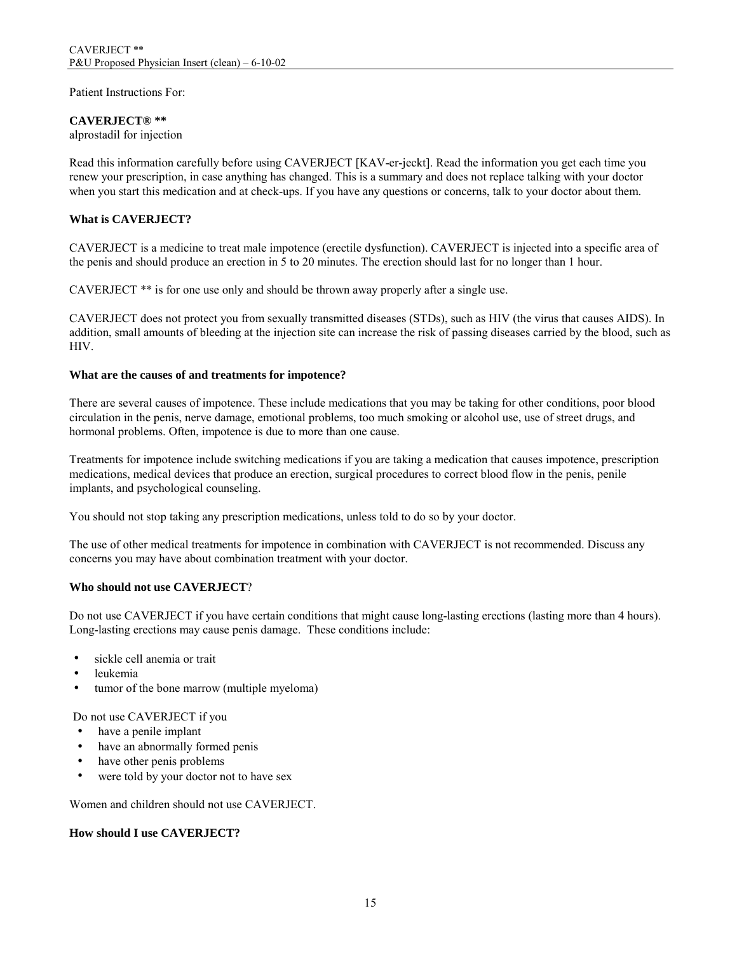Patient Instructions For:

#### **CAVERJECT® \*\***

alprostadil for injection

Read this information carefully before using CAVERJECT [KAV-er-jeckt]. Read the information you get each time you renew your prescription, in case anything has changed. This is a summary and does not replace talking with your doctor when you start this medication and at check-ups. If you have any questions or concerns, talk to your doctor about them.

#### **What is CAVERJECT?**

CAVERJECT is a medicine to treat male impotence (erectile dysfunction). CAVERJECT is injected into a specific area of the penis and should produce an erection in 5 to 20 minutes. The erection should last for no longer than 1 hour.

CAVERJECT \*\* is for one use only and should be thrown away properly after a single use.

CAVERJECT does not protect you from sexually transmitted diseases (STDs), such as HIV (the virus that causes AIDS). In addition, small amounts of bleeding at the injection site can increase the risk of passing diseases carried by the blood, such as HIV.

#### **What are the causes of and treatments for impotence?**

There are several causes of impotence. These include medications that you may be taking for other conditions, poor blood circulation in the penis, nerve damage, emotional problems, too much smoking or alcohol use, use of street drugs, and hormonal problems. Often, impotence is due to more than one cause.

Treatments for impotence include switching medications if you are taking a medication that causes impotence, prescription medications, medical devices that produce an erection, surgical procedures to correct blood flow in the penis, penile implants, and psychological counseling.

You should not stop taking any prescription medications, unless told to do so by your doctor.

The use of other medical treatments for impotence in combination with CAVERJECT is not recommended. Discuss any concerns you may have about combination treatment with your doctor.

# **Who should not use CAVERJECT**?

Do not use CAVERJECT if you have certain conditions that might cause long-lasting erections (lasting more than 4 hours). Long-lasting erections may cause penis damage. These conditions include:

- sickle cell anemia or trait
- leukemia
- tumor of the bone marrow (multiple myeloma)

Do not use CAVERJECT if you

- have a penile implant
- have an abnormally formed penis
- have other penis problems
- were told by your doctor not to have sex

Women and children should not use CAVERJECT.

# **How should I use CAVERJECT?**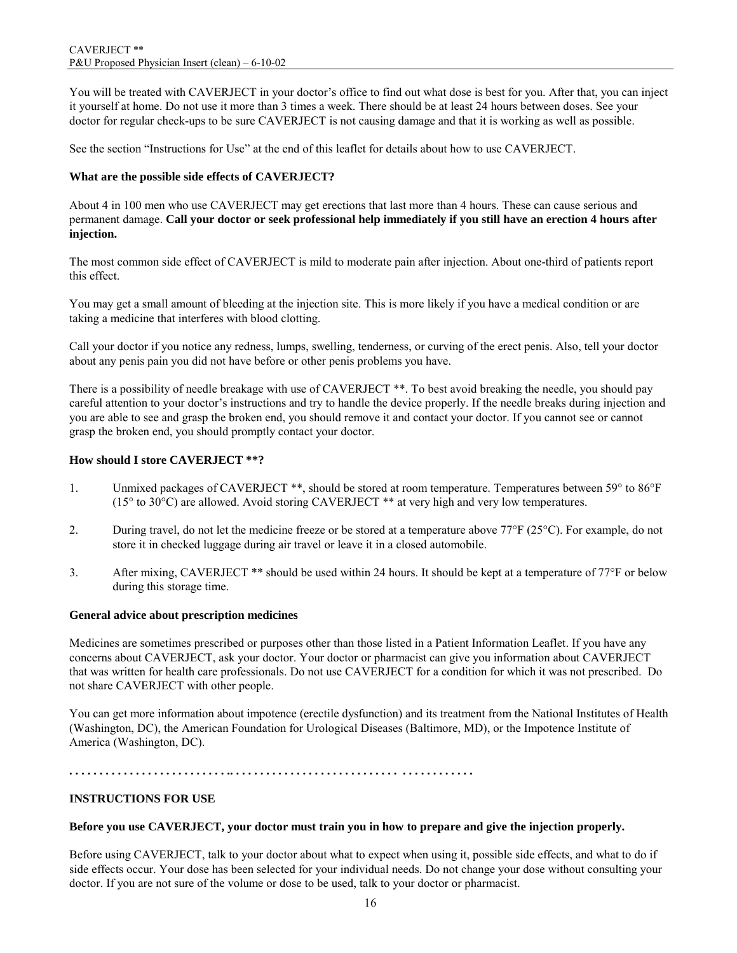You will be treated with CAVERJECT in your doctor's office to find out what dose is best for you. After that, you can inject it yourself at home. Do not use it more than 3 times a week. There should be at least 24 hours between doses. See your doctor for regular check-ups to be sure CAVERJECT is not causing damage and that it is working as well as possible.

See the section "Instructions for Use" at the end of this leaflet for details about how to use CAVERJECT.

#### **What are the possible side effects of CAVERJECT?**

About 4 in 100 men who use CAVERJECT may get erections that last more than 4 hours. These can cause serious and permanent damage. **Call your doctor or seek professional help immediately if you still have an erection 4 hours after injection.**

The most common side effect of CAVERJECT is mild to moderate pain after injection. About one-third of patients report this effect.

You may get a small amount of bleeding at the injection site. This is more likely if you have a medical condition or are taking a medicine that interferes with blood clotting.

Call your doctor if you notice any redness, lumps, swelling, tenderness, or curving of the erect penis. Also, tell your doctor about any penis pain you did not have before or other penis problems you have.

There is a possibility of needle breakage with use of CAVERJECT \*\*. To best avoid breaking the needle, you should pay careful attention to your doctor's instructions and try to handle the device properly. If the needle breaks during injection and you are able to see and grasp the broken end, you should remove it and contact your doctor. If you cannot see or cannot grasp the broken end, you should promptly contact your doctor.

#### **How should I store CAVERJECT \*\*?**

- 1. Unmixed packages of CAVERJECT \*\*, should be stored at room temperature. Temperatures between 59° to 86°F (15° to 30°C) are allowed. Avoid storing CAVERJECT \*\* at very high and very low temperatures.
- 2. During travel, do not let the medicine freeze or be stored at a temperature above 77°F (25°C). For example, do not store it in checked luggage during air travel or leave it in a closed automobile.
- 3. After mixing, CAVERJECT \*\* should be used within 24 hours. It should be kept at a temperature of 77°F or below during this storage time.

#### **General advice about prescription medicines**

Medicines are sometimes prescribed or purposes other than those listed in a Patient Information Leaflet. If you have any concerns about CAVERJECT, ask your doctor. Your doctor or pharmacist can give you information about CAVERJECT that was written for health care professionals. Do not use CAVERJECT for a condition for which it was not prescribed. Do not share CAVERJECT with other people.

You can get more information about impotence (erectile dysfunction) and its treatment from the National Institutes of Health (Washington, DC), the American Foundation for Urological Diseases (Baltimore, MD), or the Impotence Institute of America (Washington, DC).

**. . . . . . . . . . . . . . . . . . . . . . . . . . .. . . . . . . . . . . . . . . . . . . . . . . . . . . . . . . . . . . . . . . .**

#### **INSTRUCTIONS FOR USE**

#### **Before you use CAVERJECT, your doctor must train you in how to prepare and give the injection properly.**

Before using CAVERJECT, talk to your doctor about what to expect when using it, possible side effects, and what to do if side effects occur. Your dose has been selected for your individual needs. Do not change your dose without consulting your doctor. If you are not sure of the volume or dose to be used, talk to your doctor or pharmacist.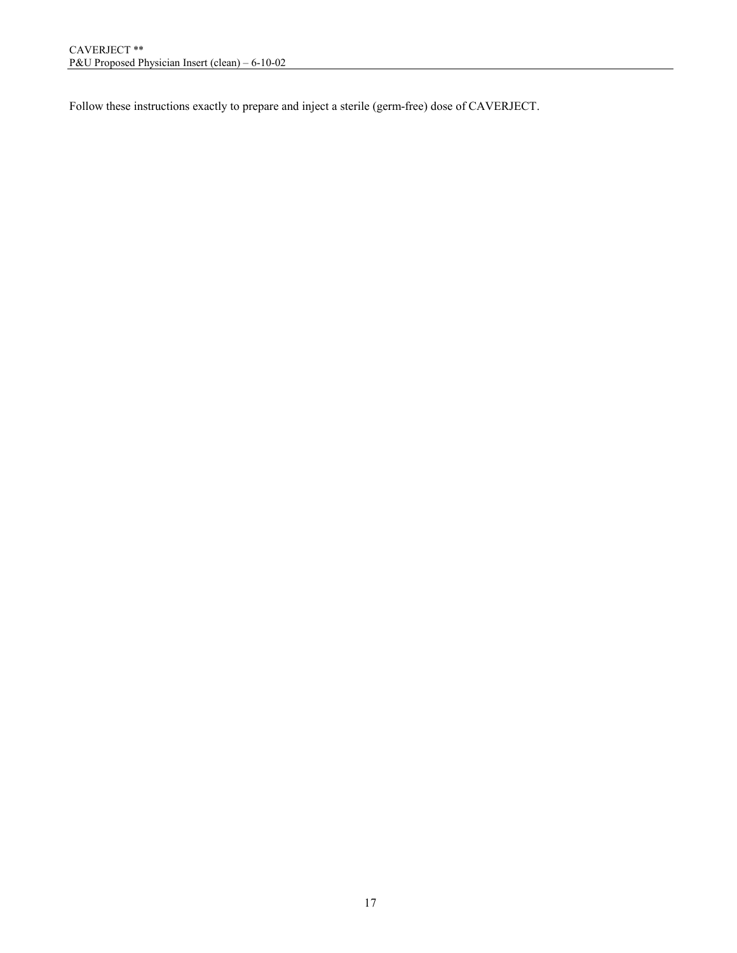Follow these instructions exactly to prepare and inject a sterile (germ-free) dose of CAVERJECT.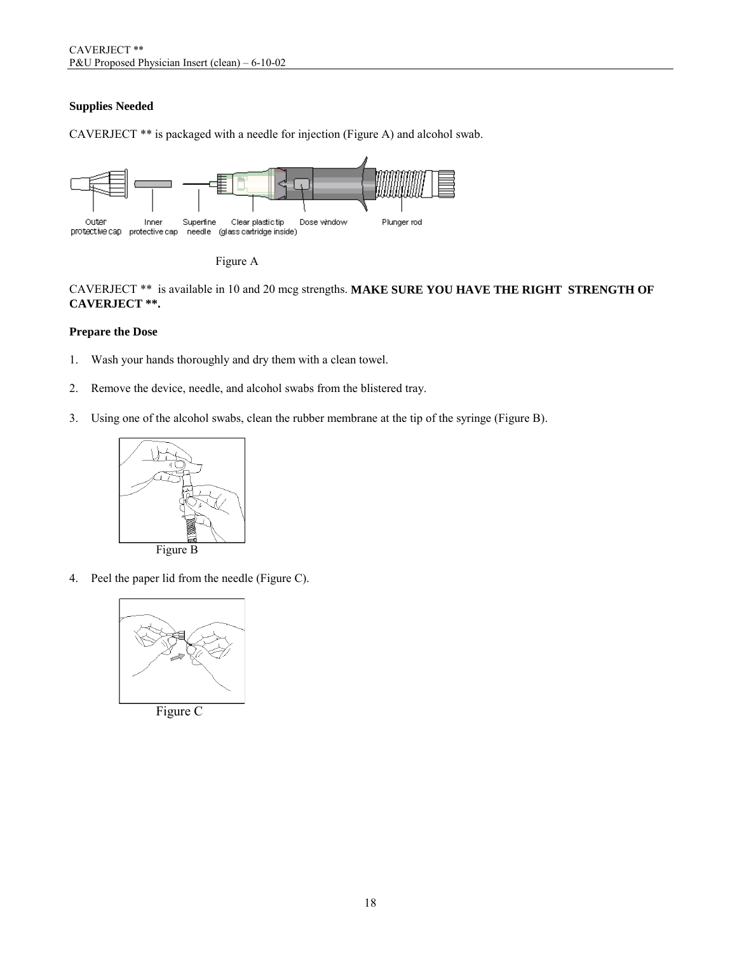# **Supplies Needed**

CAVERJECT \*\* is packaged with a needle for injection (Figure A) and alcohol swab.





CAVERJECT \*\* is available in 10 and 20 mcg strengths. **MAKE SURE YOU HAVE THE RIGHT STRENGTH OF CAVERJECT \*\*.**

#### **Prepare the Dose**

- 1. Wash your hands thoroughly and dry them with a clean towel.
- 2. Remove the device, needle, and alcohol swabs from the blistered tray.
- 3. Using one of the alcohol swabs, clean the rubber membrane at the tip of the syringe (Figure B).



4. Peel the paper lid from the needle (Figure C).



Figure C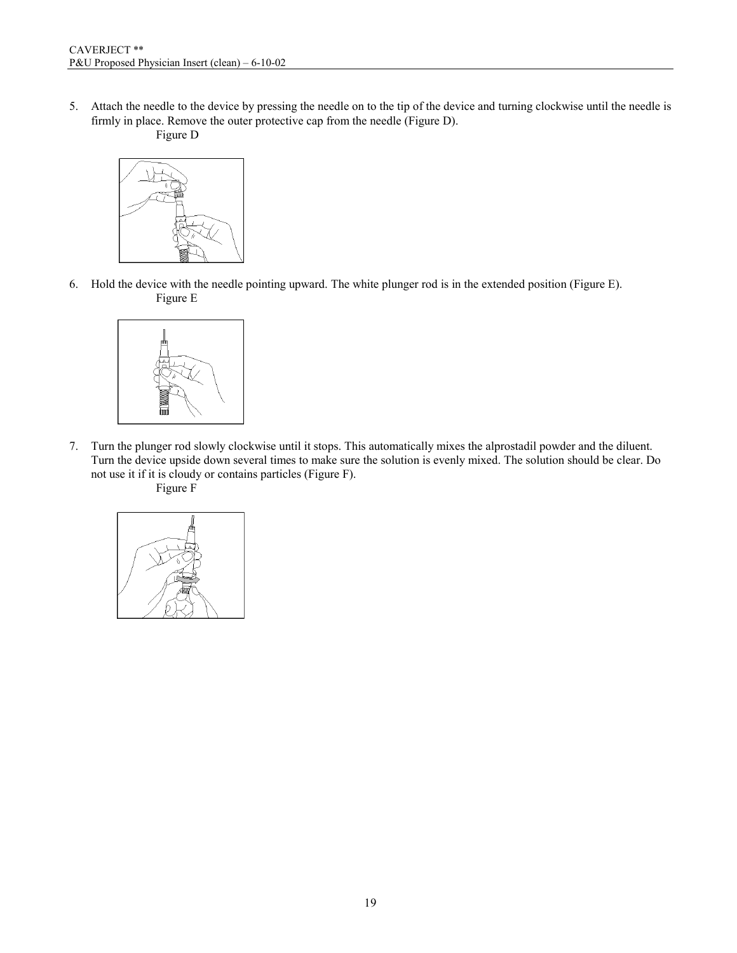5. Attach the needle to the device by pressing the needle on to the tip of the device and turning clockwise until the needle is firmly in place. Remove the outer protective cap from the needle (Figure D). Figure D



6. Hold the device with the needle pointing upward. The white plunger rod is in the extended position (Figure E). Figure E



7. Turn the plunger rod slowly clockwise until it stops. This automatically mixes the alprostadil powder and the diluent. Turn the device upside down several times to make sure the solution is evenly mixed. The solution should be clear. Do not use it if it is cloudy or contains particles (Figure F). Figure F

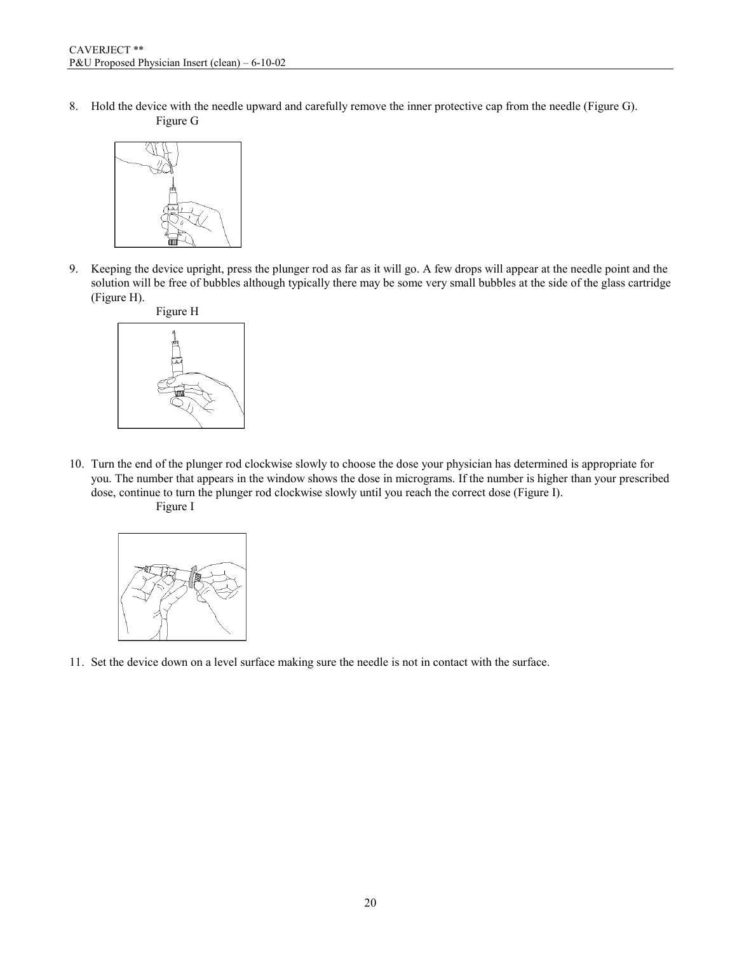8. Hold the device with the needle upward and carefully remove the inner protective cap from the needle (Figure G). Figure G



9. Keeping the device upright, press the plunger rod as far as it will go. A few drops will appear at the needle point and the solution will be free of bubbles although typically there may be some very small bubbles at the side of the glass cartridge (Figure H).



10. Turn the end of the plunger rod clockwise slowly to choose the dose your physician has determined is appropriate for you. The number that appears in the window shows the dose in micrograms. If the number is higher than your prescribed dose, continue to turn the plunger rod clockwise slowly until you reach the correct dose (Figure I). Figure I



11. Set the device down on a level surface making sure the needle is not in contact with the surface.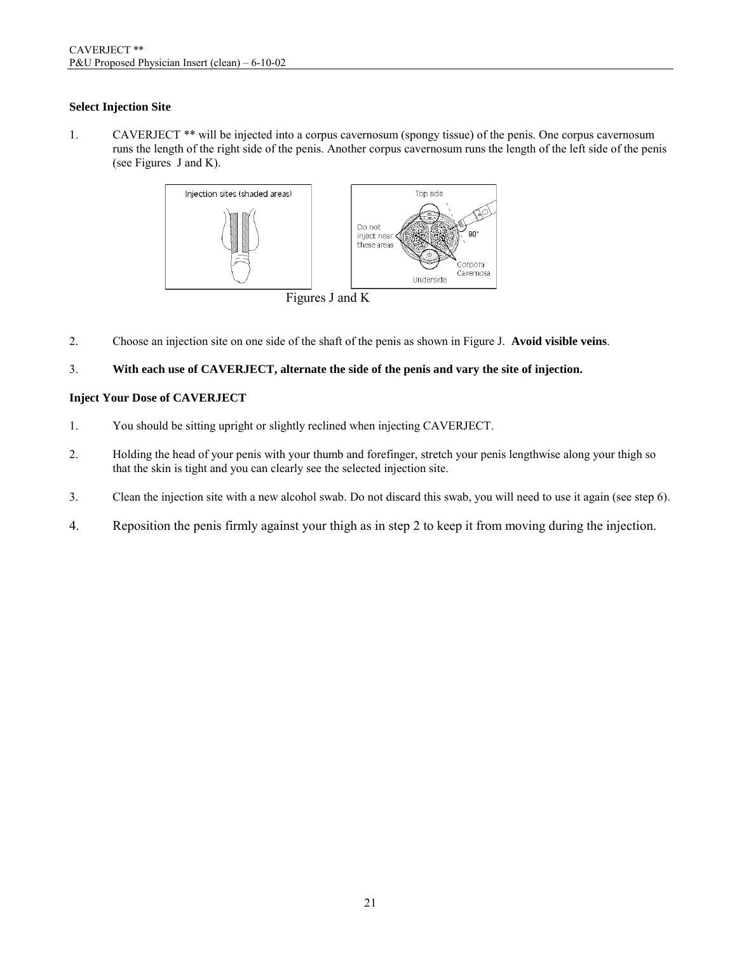# **Select Injection Site**

1. CAVERJECT \*\* will be injected into a corpus cavernosum (spongy tissue) of the penis. One corpus cavernosum runs the length of the right side of the penis. Another corpus cavernosum runs the length of the left side of the penis (see Figures J and K).



- 
- 2. Choose an injection site on one side of the shaft of the penis as shown in Figure J. **Avoid visible veins**.

# 3. **With each use of CAVERJECT, alternate the side of the penis and vary the site of injection.**

# **Inject Your Dose of CAVERJECT**

- 1. You should be sitting upright or slightly reclined when injecting CAVERJECT.
- 2. Holding the head of your penis with your thumb and forefinger, stretch your penis lengthwise along your thigh so that the skin is tight and you can clearly see the selected injection site.
- 3. Clean the injection site with a new alcohol swab. Do not discard this swab, you will need to use it again (see step 6).
- 4. Reposition the penis firmly against your thigh as in step 2 to keep it from moving during the injection.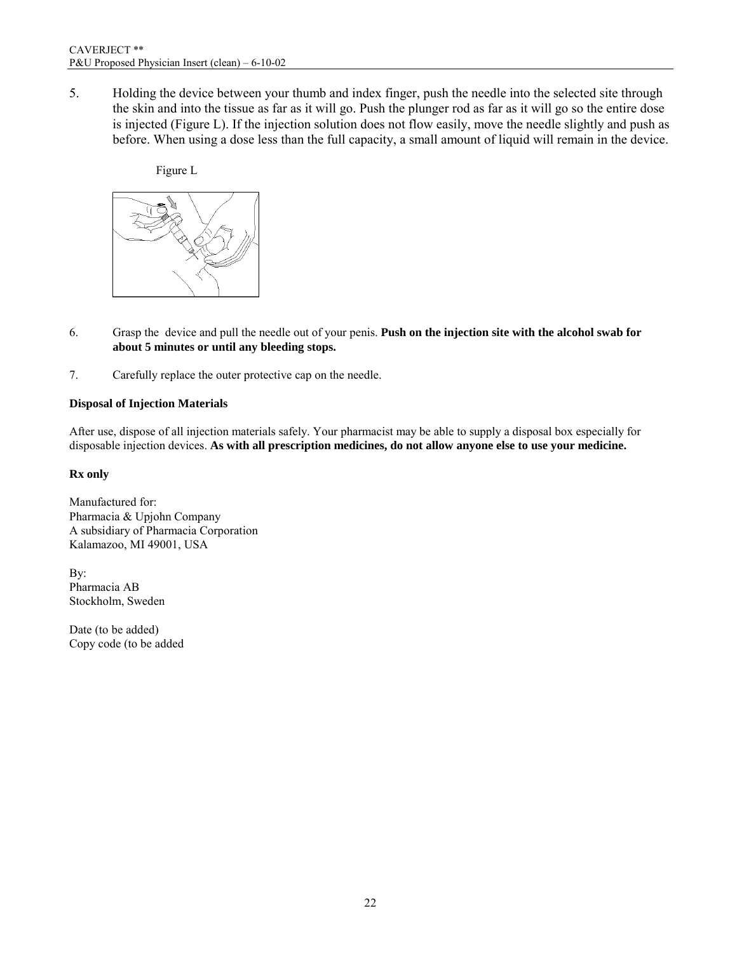5. Holding the device between your thumb and index finger, push the needle into the selected site through the skin and into the tissue as far as it will go. Push the plunger rod as far as it will go so the entire dose is injected (Figure L). If the injection solution does not flow easily, move the needle slightly and push as before. When using a dose less than the full capacity, a small amount of liquid will remain in the device.

# Figure L



- 6. Grasp the device and pull the needle out of your penis. **Push on the injection site with the alcohol swab for about 5 minutes or until any bleeding stops.**
- 7. Carefully replace the outer protective cap on the needle.

#### **Disposal of Injection Materials**

After use, dispose of all injection materials safely. Your pharmacist may be able to supply a disposal box especially for disposable injection devices. **As with all prescription medicines, do not allow anyone else to use your medicine.**

#### **Rx only**

Manufactured for: Pharmacia & Upjohn Company A subsidiary of Pharmacia Corporation Kalamazoo, MI 49001, USA

By: Pharmacia AB Stockholm, Sweden

Date (to be added) Copy code (to be added